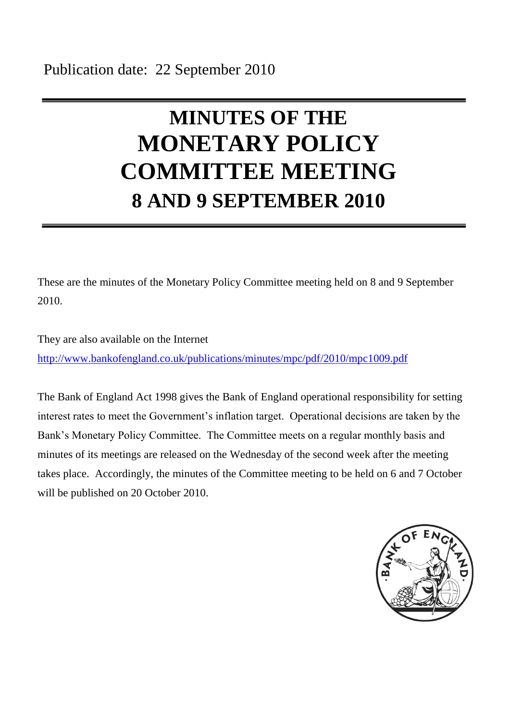# **MINUTES OF THE MONETARY POLICY COMMITTEE MEETING 8 AND 9 SEPTEMBER 2010**

These are the minutes of the Monetary Policy Committee meeting held on 8 and 9 September 2010.

They are also available on the Internet <http://www.bankofengland.co.uk/publications/minutes/mpc/pdf/2010/mpc1009.pdf>

The Bank of England Act 1998 gives the Bank of England operational responsibility for setting interest rates to meet the Government's inflation target. Operational decisions are taken by the Bank's Monetary Policy Committee. The Committee meets on a regular monthly basis and minutes of its meetings are released on the Wednesday of the second week after the meeting takes place. Accordingly, the minutes of the Committee meeting to be held on 6 and 7 October will be published on 20 October 2010.

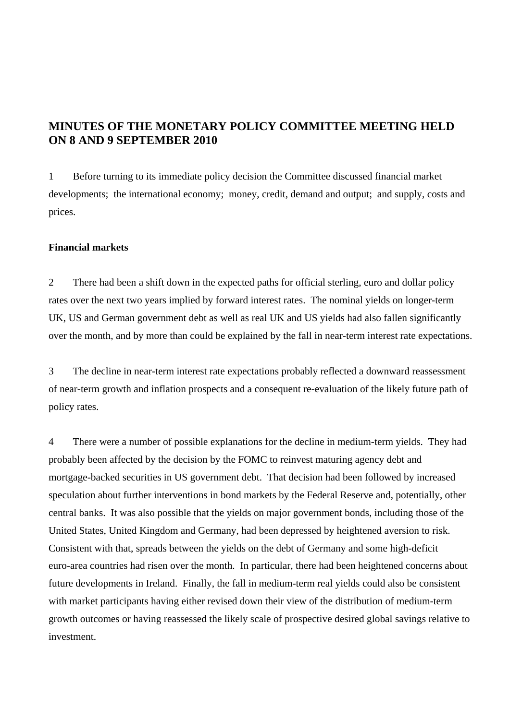# **MINUTES OF THE MONETARY POLICY COMMITTEE MEETING HELD ON 8 AND 9 SEPTEMBER 2010**

1 Before turning to its immediate policy decision the Committee discussed financial market developments; the international economy; money, credit, demand and output; and supply, costs and prices.

## **Financial markets**

2 There had been a shift down in the expected paths for official sterling, euro and dollar policy rates over the next two years implied by forward interest rates. The nominal yields on longer-term UK, US and German government debt as well as real UK and US yields had also fallen significantly over the month, and by more than could be explained by the fall in near-term interest rate expectations.

3 The decline in near-term interest rate expectations probably reflected a downward reassessment of near-term growth and inflation prospects and a consequent re-evaluation of the likely future path of policy rates.

4 There were a number of possible explanations for the decline in medium-term yields. They had probably been affected by the decision by the FOMC to reinvest maturing agency debt and mortgage-backed securities in US government debt. That decision had been followed by increased speculation about further interventions in bond markets by the Federal Reserve and, potentially, other central banks. It was also possible that the yields on major government bonds, including those of the United States, United Kingdom and Germany, had been depressed by heightened aversion to risk. Consistent with that, spreads between the yields on the debt of Germany and some high-deficit euro-area countries had risen over the month. In particular, there had been heightened concerns about future developments in Ireland. Finally, the fall in medium-term real yields could also be consistent with market participants having either revised down their view of the distribution of medium-term growth outcomes or having reassessed the likely scale of prospective desired global savings relative to investment.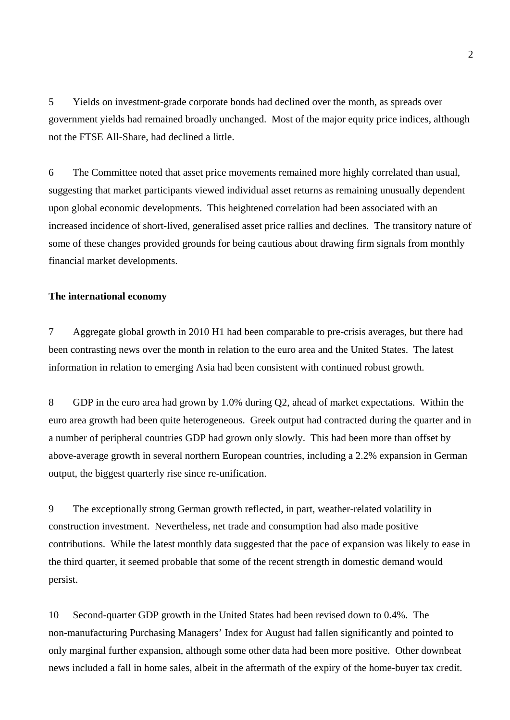5 Yields on investment-grade corporate bonds had declined over the month, as spreads over government yields had remained broadly unchanged. Most of the major equity price indices, although not the FTSE All-Share, had declined a little.

6 The Committee noted that asset price movements remained more highly correlated than usual, suggesting that market participants viewed individual asset returns as remaining unusually dependent upon global economic developments. This heightened correlation had been associated with an increased incidence of short-lived, generalised asset price rallies and declines. The transitory nature of some of these changes provided grounds for being cautious about drawing firm signals from monthly financial market developments.

# **The international economy**

7 Aggregate global growth in 2010 H1 had been comparable to pre-crisis averages, but there had been contrasting news over the month in relation to the euro area and the United States. The latest information in relation to emerging Asia had been consistent with continued robust growth.

8 GDP in the euro area had grown by 1.0% during Q2, ahead of market expectations. Within the euro area growth had been quite heterogeneous. Greek output had contracted during the quarter and in a number of peripheral countries GDP had grown only slowly. This had been more than offset by above-average growth in several northern European countries, including a 2.2% expansion in German output, the biggest quarterly rise since re-unification.

9 The exceptionally strong German growth reflected, in part, weather-related volatility in construction investment. Nevertheless, net trade and consumption had also made positive contributions. While the latest monthly data suggested that the pace of expansion was likely to ease in the third quarter, it seemed probable that some of the recent strength in domestic demand would persist.

10 Second-quarter GDP growth in the United States had been revised down to 0.4%. The non-manufacturing Purchasing Managers' Index for August had fallen significantly and pointed to only marginal further expansion, although some other data had been more positive. Other downbeat news included a fall in home sales, albeit in the aftermath of the expiry of the home-buyer tax credit.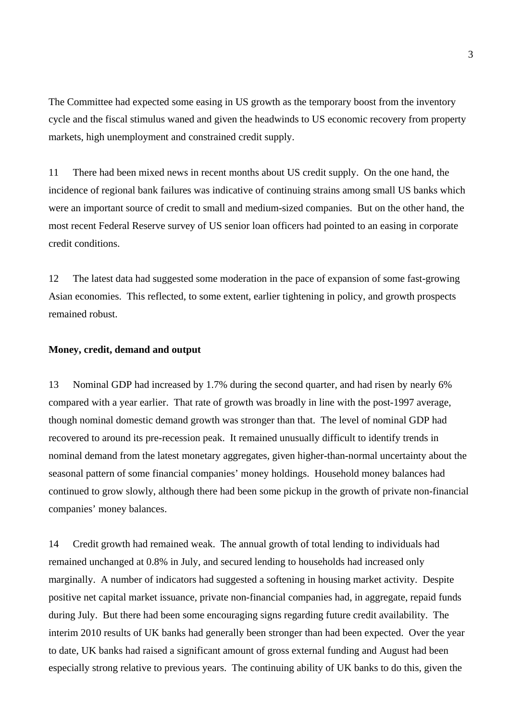The Committee had expected some easing in US growth as the temporary boost from the inventory cycle and the fiscal stimulus waned and given the headwinds to US economic recovery from property markets, high unemployment and constrained credit supply.

11 There had been mixed news in recent months about US credit supply. On the one hand, the incidence of regional bank failures was indicative of continuing strains among small US banks which were an important source of credit to small and medium-sized companies. But on the other hand, the most recent Federal Reserve survey of US senior loan officers had pointed to an easing in corporate credit conditions.

12 The latest data had suggested some moderation in the pace of expansion of some fast-growing Asian economies. This reflected, to some extent, earlier tightening in policy, and growth prospects remained robust.

## **Money, credit, demand and output**

13 Nominal GDP had increased by 1.7% during the second quarter, and had risen by nearly 6% compared with a year earlier. That rate of growth was broadly in line with the post-1997 average, though nominal domestic demand growth was stronger than that. The level of nominal GDP had recovered to around its pre-recession peak. It remained unusually difficult to identify trends in nominal demand from the latest monetary aggregates, given higher-than-normal uncertainty about the seasonal pattern of some financial companies' money holdings. Household money balances had continued to grow slowly, although there had been some pickup in the growth of private non-financial companies' money balances.

14 Credit growth had remained weak. The annual growth of total lending to individuals had remained unchanged at 0.8% in July, and secured lending to households had increased only marginally. A number of indicators had suggested a softening in housing market activity. Despite positive net capital market issuance, private non-financial companies had, in aggregate, repaid funds during July. But there had been some encouraging signs regarding future credit availability. The interim 2010 results of UK banks had generally been stronger than had been expected. Over the year to date, UK banks had raised a significant amount of gross external funding and August had been especially strong relative to previous years. The continuing ability of UK banks to do this, given the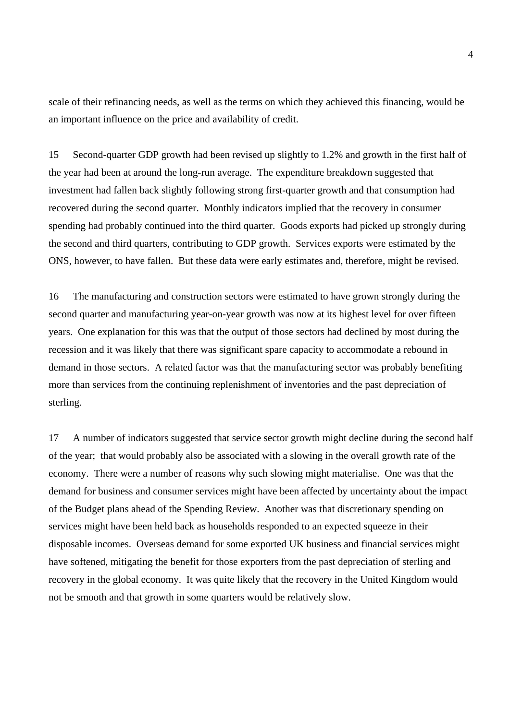scale of their refinancing needs, as well as the terms on which they achieved this financing, would be an important influence on the price and availability of credit.

15 Second-quarter GDP growth had been revised up slightly to 1.2% and growth in the first half of the year had been at around the long-run average. The expenditure breakdown suggested that investment had fallen back slightly following strong first-quarter growth and that consumption had recovered during the second quarter. Monthly indicators implied that the recovery in consumer spending had probably continued into the third quarter. Goods exports had picked up strongly during the second and third quarters, contributing to GDP growth. Services exports were estimated by the ONS, however, to have fallen. But these data were early estimates and, therefore, might be revised.

16 The manufacturing and construction sectors were estimated to have grown strongly during the second quarter and manufacturing year-on-year growth was now at its highest level for over fifteen years. One explanation for this was that the output of those sectors had declined by most during the recession and it was likely that there was significant spare capacity to accommodate a rebound in demand in those sectors. A related factor was that the manufacturing sector was probably benefiting more than services from the continuing replenishment of inventories and the past depreciation of sterling.

17 A number of indicators suggested that service sector growth might decline during the second half of the year; that would probably also be associated with a slowing in the overall growth rate of the economy. There were a number of reasons why such slowing might materialise. One was that the demand for business and consumer services might have been affected by uncertainty about the impact of the Budget plans ahead of the Spending Review. Another was that discretionary spending on services might have been held back as households responded to an expected squeeze in their disposable incomes. Overseas demand for some exported UK business and financial services might have softened, mitigating the benefit for those exporters from the past depreciation of sterling and recovery in the global economy. It was quite likely that the recovery in the United Kingdom would not be smooth and that growth in some quarters would be relatively slow.

4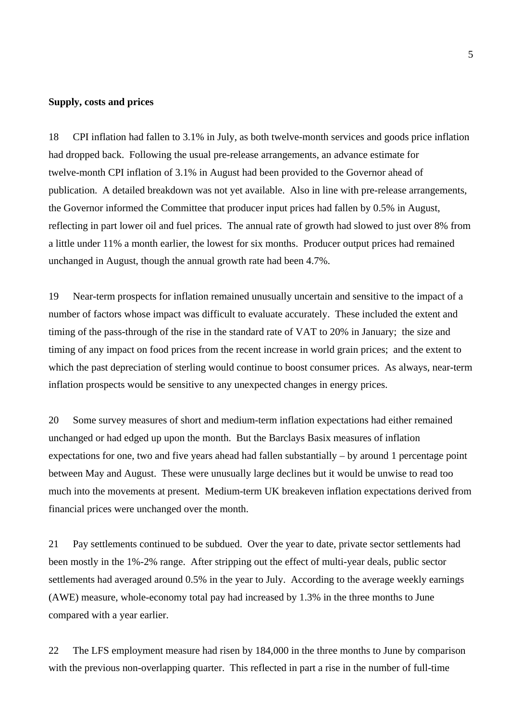#### **Supply, costs and prices**

18 CPI inflation had fallen to 3.1% in July, as both twelve-month services and goods price inflation had dropped back. Following the usual pre-release arrangements, an advance estimate for twelve-month CPI inflation of 3.1% in August had been provided to the Governor ahead of publication. A detailed breakdown was not yet available. Also in line with pre-release arrangements, the Governor informed the Committee that producer input prices had fallen by 0.5% in August, reflecting in part lower oil and fuel prices. The annual rate of growth had slowed to just over 8% from a little under 11% a month earlier, the lowest for six months. Producer output prices had remained unchanged in August, though the annual growth rate had been 4.7%.

19 Near-term prospects for inflation remained unusually uncertain and sensitive to the impact of a number of factors whose impact was difficult to evaluate accurately. These included the extent and timing of the pass-through of the rise in the standard rate of VAT to 20% in January; the size and timing of any impact on food prices from the recent increase in world grain prices; and the extent to which the past depreciation of sterling would continue to boost consumer prices. As always, near-term inflation prospects would be sensitive to any unexpected changes in energy prices.

20 Some survey measures of short and medium-term inflation expectations had either remained unchanged or had edged up upon the month. But the Barclays Basix measures of inflation expectations for one, two and five years ahead had fallen substantially – by around 1 percentage point between May and August. These were unusually large declines but it would be unwise to read too much into the movements at present. Medium-term UK breakeven inflation expectations derived from financial prices were unchanged over the month.

21 Pay settlements continued to be subdued. Over the year to date, private sector settlements had been mostly in the 1%-2% range. After stripping out the effect of multi-year deals, public sector settlements had averaged around 0.5% in the year to July. According to the average weekly earnings (AWE) measure, whole-economy total pay had increased by 1.3% in the three months to June compared with a year earlier.

22 The LFS employment measure had risen by 184,000 in the three months to June by comparison with the previous non-overlapping quarter. This reflected in part a rise in the number of full-time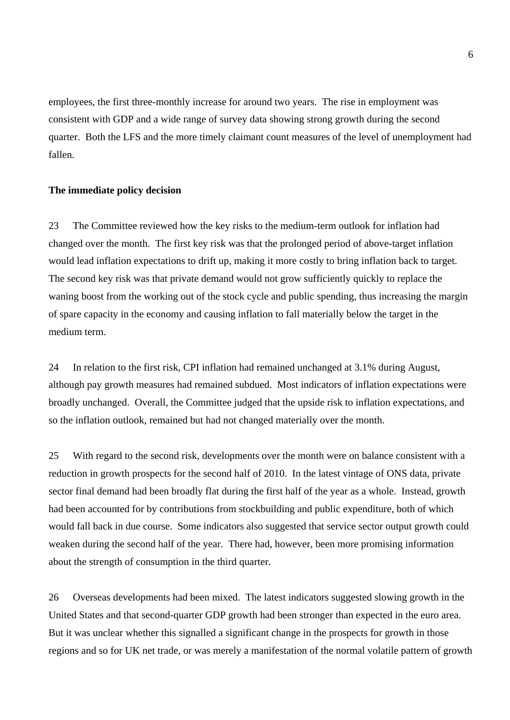employees, the first three-monthly increase for around two years. The rise in employment was consistent with GDP and a wide range of survey data showing strong growth during the second quarter. Both the LFS and the more timely claimant count measures of the level of unemployment had fallen.

#### **The immediate policy decision**

23 The Committee reviewed how the key risks to the medium-term outlook for inflation had changed over the month. The first key risk was that the prolonged period of above-target inflation would lead inflation expectations to drift up, making it more costly to bring inflation back to target. The second key risk was that private demand would not grow sufficiently quickly to replace the waning boost from the working out of the stock cycle and public spending, thus increasing the margin of spare capacity in the economy and causing inflation to fall materially below the target in the medium term.

24 In relation to the first risk, CPI inflation had remained unchanged at 3.1% during August, although pay growth measures had remained subdued. Most indicators of inflation expectations were broadly unchanged. Overall, the Committee judged that the upside risk to inflation expectations, and so the inflation outlook, remained but had not changed materially over the month.

25 With regard to the second risk, developments over the month were on balance consistent with a reduction in growth prospects for the second half of 2010. In the latest vintage of ONS data, private sector final demand had been broadly flat during the first half of the year as a whole. Instead, growth had been accounted for by contributions from stockbuilding and public expenditure, both of which would fall back in due course. Some indicators also suggested that service sector output growth could weaken during the second half of the year. There had, however, been more promising information about the strength of consumption in the third quarter.

26 Overseas developments had been mixed. The latest indicators suggested slowing growth in the United States and that second-quarter GDP growth had been stronger than expected in the euro area. But it was unclear whether this signalled a significant change in the prospects for growth in those regions and so for UK net trade, or was merely a manifestation of the normal volatile pattern of growth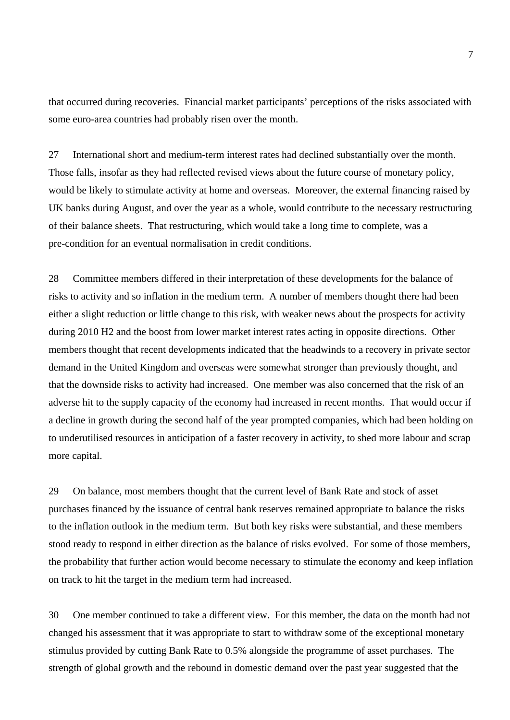that occurred during recoveries. Financial market participants' perceptions of the risks associated with some euro-area countries had probably risen over the month.

27 International short and medium-term interest rates had declined substantially over the month. Those falls, insofar as they had reflected revised views about the future course of monetary policy, would be likely to stimulate activity at home and overseas. Moreover, the external financing raised by UK banks during August, and over the year as a whole, would contribute to the necessary restructuring of their balance sheets. That restructuring, which would take a long time to complete, was a pre-condition for an eventual normalisation in credit conditions.

28 Committee members differed in their interpretation of these developments for the balance of risks to activity and so inflation in the medium term. A number of members thought there had been either a slight reduction or little change to this risk, with weaker news about the prospects for activity during 2010 H2 and the boost from lower market interest rates acting in opposite directions. Other members thought that recent developments indicated that the headwinds to a recovery in private sector demand in the United Kingdom and overseas were somewhat stronger than previously thought, and that the downside risks to activity had increased. One member was also concerned that the risk of an adverse hit to the supply capacity of the economy had increased in recent months. That would occur if a decline in growth during the second half of the year prompted companies, which had been holding on to underutilised resources in anticipation of a faster recovery in activity, to shed more labour and scrap more capital.

29 On balance, most members thought that the current level of Bank Rate and stock of asset purchases financed by the issuance of central bank reserves remained appropriate to balance the risks to the inflation outlook in the medium term. But both key risks were substantial, and these members stood ready to respond in either direction as the balance of risks evolved. For some of those members, the probability that further action would become necessary to stimulate the economy and keep inflation on track to hit the target in the medium term had increased.

30 One member continued to take a different view. For this member, the data on the month had not changed his assessment that it was appropriate to start to withdraw some of the exceptional monetary stimulus provided by cutting Bank Rate to 0.5% alongside the programme of asset purchases. The strength of global growth and the rebound in domestic demand over the past year suggested that the